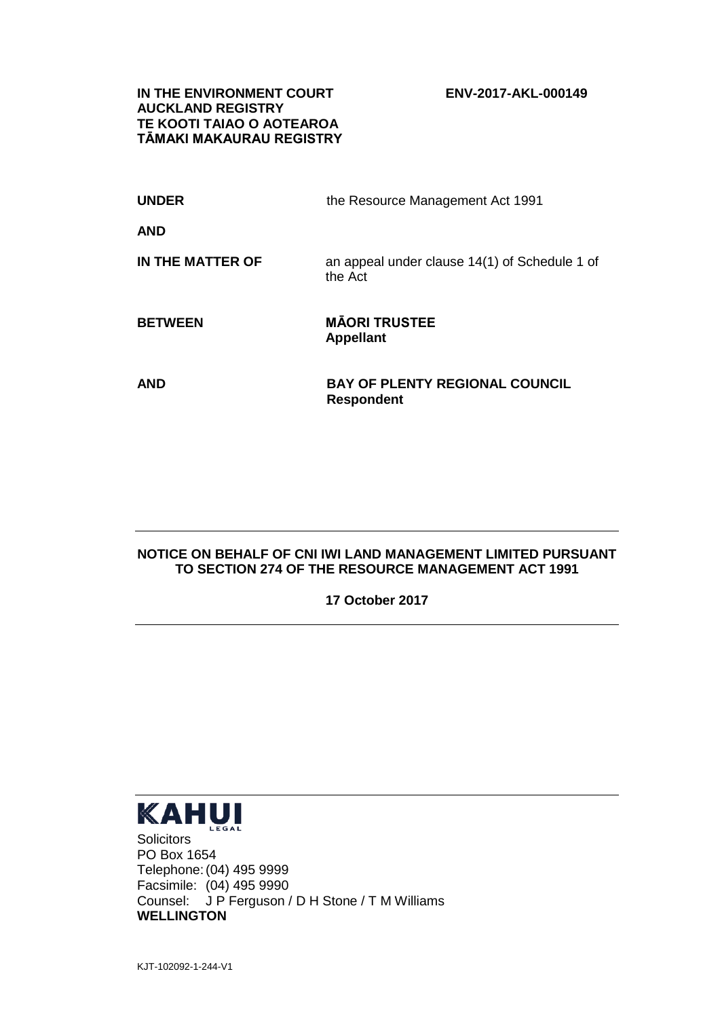**IN THE ENVIRONMENT COURT ENV-2017-AKL-000149 AUCKLAND REGISTRY TE KOOTI TAIAO O AOTEAROA TĀMAKI MAKAURAU REGISTRY**

| <b>UNDER</b>     | the Resource Management Act 1991                           |
|------------------|------------------------------------------------------------|
| <b>AND</b>       |                                                            |
| IN THE MATTER OF | an appeal under clause 14(1) of Schedule 1 of<br>the Act   |
| <b>BETWEEN</b>   | <b>MAORI TRUSTEE</b><br><b>Appellant</b>                   |
| <b>AND</b>       | <b>BAY OF PLENTY REGIONAL COUNCIL</b><br><b>Respondent</b> |

## **NOTICE ON BEHALF OF CNI IWI LAND MANAGEMENT LIMITED PURSUANT TO SECTION 274 OF THE RESOURCE MANAGEMENT ACT 1991**

**17 October 2017**



**Solicitors** PO Box 1654 Telephone:(04) 495 9999 Facsimile: (04) 495 9990 Counsel: J P Ferguson / D H Stone / T M Williams **WELLINGTON**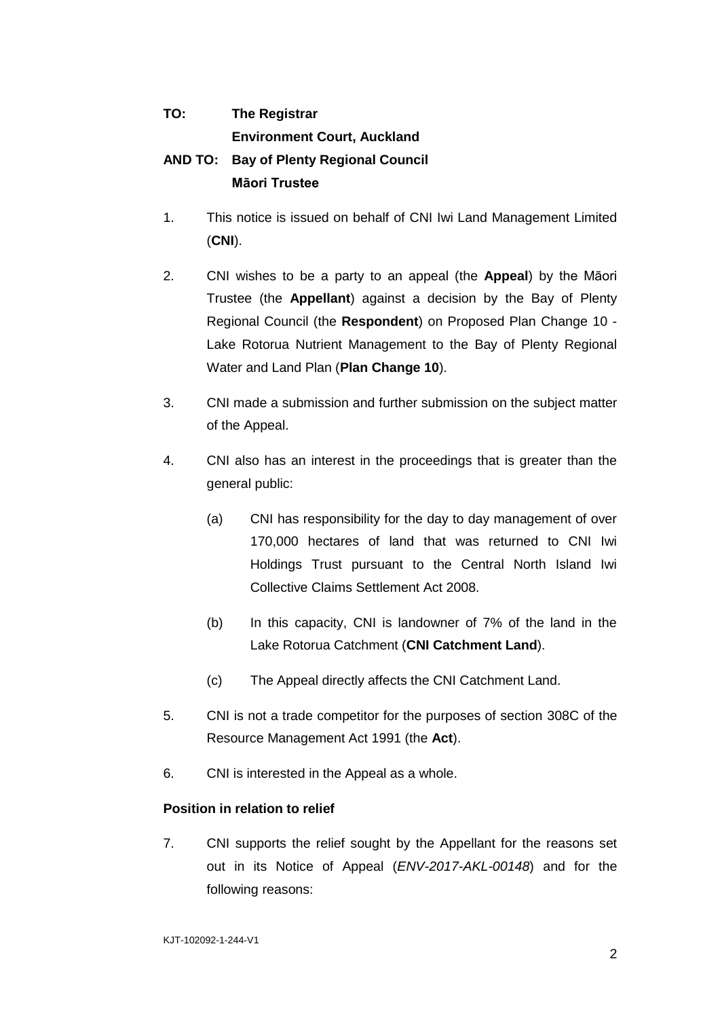## **TO: The Registrar Environment Court, Auckland AND TO: Bay of Plenty Regional Council Māori Trustee**

- 1. This notice is issued on behalf of CNI Iwi Land Management Limited (**CNI**).
- 2. CNI wishes to be a party to an appeal (the **Appeal**) by the Māori Trustee (the **Appellant**) against a decision by the Bay of Plenty Regional Council (the **Respondent**) on Proposed Plan Change 10 - Lake Rotorua Nutrient Management to the Bay of Plenty Regional Water and Land Plan (**Plan Change 10**).
- 3. CNI made a submission and further submission on the subject matter of the Appeal.
- 4. CNI also has an interest in the proceedings that is greater than the general public:
	- (a) CNI has responsibility for the day to day management of over 170,000 hectares of land that was returned to CNI Iwi Holdings Trust pursuant to the Central North Island Iwi Collective Claims Settlement Act 2008.
	- (b) In this capacity, CNI is landowner of 7% of the land in the Lake Rotorua Catchment (**CNI Catchment Land**).
	- (c) The Appeal directly affects the CNI Catchment Land.
- 5. CNI is not a trade competitor for the purposes of section 308C of the Resource Management Act 1991 (the **Act**).
- 6. CNI is interested in the Appeal as a whole.

## **Position in relation to relief**

7. CNI supports the relief sought by the Appellant for the reasons set out in its Notice of Appeal (*ENV-2017-AKL-00148*) and for the following reasons: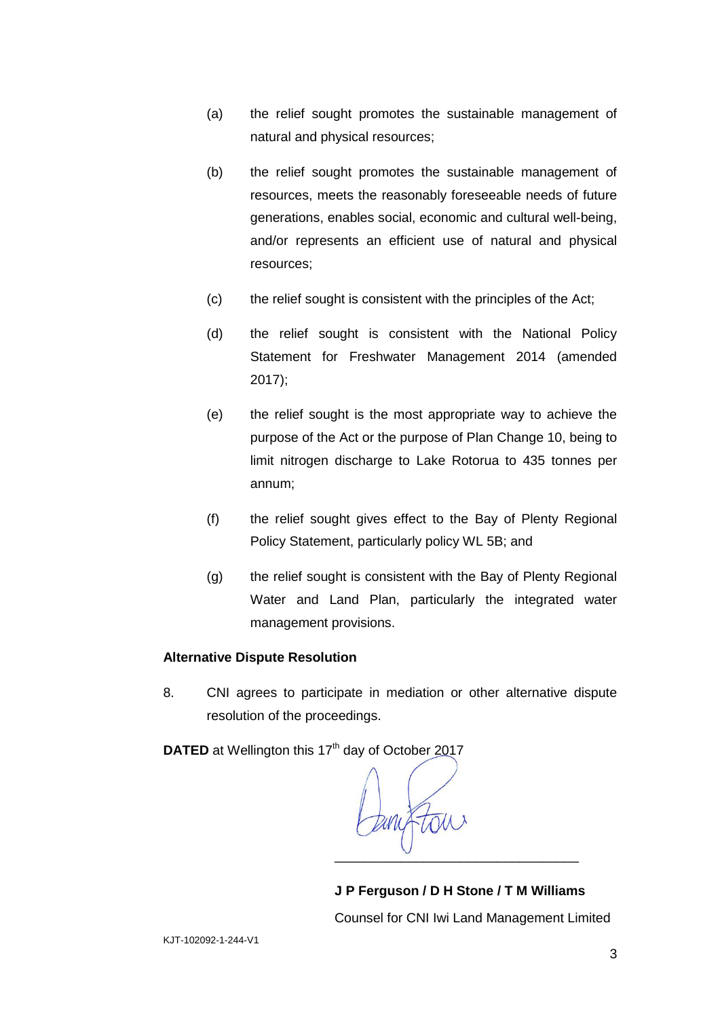- (a) the relief sought promotes the sustainable management of natural and physical resources;
- (b) the relief sought promotes the sustainable management of resources, meets the reasonably foreseeable needs of future generations, enables social, economic and cultural well-being, and/or represents an efficient use of natural and physical resources;
- (c) the relief sought is consistent with the principles of the Act;
- (d) the relief sought is consistent with the National Policy Statement for Freshwater Management 2014 (amended 2017);
- (e) the relief sought is the most appropriate way to achieve the purpose of the Act or the purpose of Plan Change 10, being to limit nitrogen discharge to Lake Rotorua to 435 tonnes per annum;
- (f) the relief sought gives effect to the Bay of Plenty Regional Policy Statement, particularly policy WL 5B; and
- (g) the relief sought is consistent with the Bay of Plenty Regional Water and Land Plan, particularly the integrated water management provisions.

## **Alternative Dispute Resolution**

8. CNI agrees to participate in mediation or other alternative dispute resolution of the proceedings.

**DATED** at Wellington this 17<sup>th</sup> day of October 2017

any tou \_\_\_\_\_\_\_\_\_\_\_\_\_\_\_\_\_\_\_\_\_\_\_\_\_\_\_\_\_\_\_\_\_

**J P Ferguson / D H Stone / T M Williams**  Counsel for CNI Iwi Land Management Limited